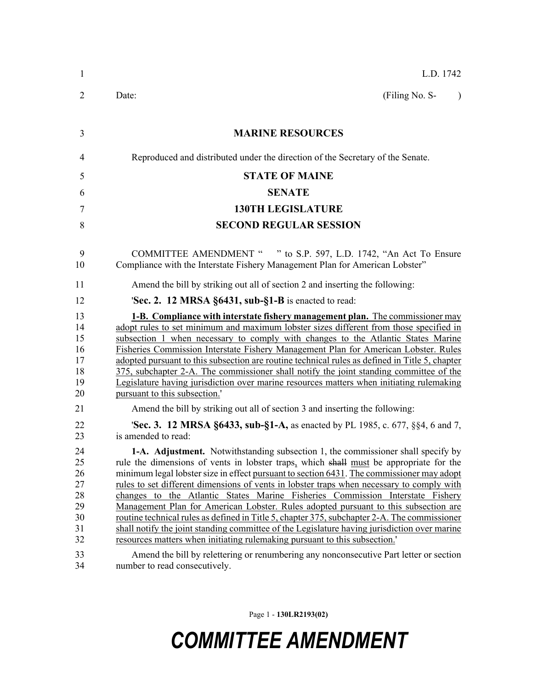| $\mathbf{1}$                                                   | L.D. 1742                                                                                                                                                                                                                                                                                                                                                                                                                                                                                                                                                                                                                                                                                                                                                                                                                                                                                                                                          |
|----------------------------------------------------------------|----------------------------------------------------------------------------------------------------------------------------------------------------------------------------------------------------------------------------------------------------------------------------------------------------------------------------------------------------------------------------------------------------------------------------------------------------------------------------------------------------------------------------------------------------------------------------------------------------------------------------------------------------------------------------------------------------------------------------------------------------------------------------------------------------------------------------------------------------------------------------------------------------------------------------------------------------|
| $\overline{2}$                                                 | (Filing No. S-<br>Date:<br>$\lambda$                                                                                                                                                                                                                                                                                                                                                                                                                                                                                                                                                                                                                                                                                                                                                                                                                                                                                                               |
| 3                                                              | <b>MARINE RESOURCES</b>                                                                                                                                                                                                                                                                                                                                                                                                                                                                                                                                                                                                                                                                                                                                                                                                                                                                                                                            |
| 4                                                              | Reproduced and distributed under the direction of the Secretary of the Senate.                                                                                                                                                                                                                                                                                                                                                                                                                                                                                                                                                                                                                                                                                                                                                                                                                                                                     |
| 5                                                              | <b>STATE OF MAINE</b>                                                                                                                                                                                                                                                                                                                                                                                                                                                                                                                                                                                                                                                                                                                                                                                                                                                                                                                              |
| 6                                                              | <b>SENATE</b>                                                                                                                                                                                                                                                                                                                                                                                                                                                                                                                                                                                                                                                                                                                                                                                                                                                                                                                                      |
| $\overline{7}$                                                 | <b>130TH LEGISLATURE</b>                                                                                                                                                                                                                                                                                                                                                                                                                                                                                                                                                                                                                                                                                                                                                                                                                                                                                                                           |
| 8                                                              | <b>SECOND REGULAR SESSION</b>                                                                                                                                                                                                                                                                                                                                                                                                                                                                                                                                                                                                                                                                                                                                                                                                                                                                                                                      |
| 9<br>10                                                        | COMMITTEE AMENDMENT " " to S.P. 597, L.D. 1742, "An Act To Ensure<br>Compliance with the Interstate Fishery Management Plan for American Lobster"                                                                                                                                                                                                                                                                                                                                                                                                                                                                                                                                                                                                                                                                                                                                                                                                  |
| 11                                                             | Amend the bill by striking out all of section 2 and inserting the following:                                                                                                                                                                                                                                                                                                                                                                                                                                                                                                                                                                                                                                                                                                                                                                                                                                                                       |
| 12                                                             | <b>Sec. 2. 12 MRSA <math>\S6431</math>, sub-<math>\S1-B</math></b> is enacted to read:                                                                                                                                                                                                                                                                                                                                                                                                                                                                                                                                                                                                                                                                                                                                                                                                                                                             |
| 13<br>14<br>15<br>16<br>17<br>18<br>19<br>20<br>21             | <b>1-B. Compliance with interstate fishery management plan.</b> The commissioner may<br>adopt rules to set minimum and maximum lobster sizes different from those specified in<br>subsection 1 when necessary to comply with changes to the Atlantic States Marine<br>Fisheries Commission Interstate Fishery Management Plan for American Lobster. Rules<br>adopted pursuant to this subsection are routine technical rules as defined in Title 5, chapter<br>375, subchapter 2-A. The commissioner shall notify the joint standing committee of the<br>Legislature having jurisdiction over marine resources matters when initiating rulemaking<br>pursuant to this subsection."<br>Amend the bill by striking out all of section 3 and inserting the following:                                                                                                                                                                                 |
| 22                                                             | <b>Sec. 3. 12 MRSA §6433, sub-§1-A, as enacted by PL 1985, c. 677, §§4, 6 and 7,</b>                                                                                                                                                                                                                                                                                                                                                                                                                                                                                                                                                                                                                                                                                                                                                                                                                                                               |
| 23<br>24<br>25<br>26<br>27<br>28<br>29<br>30<br>31<br>32<br>33 | is amended to read:<br><b>1-A. Adjustment.</b> Notwithstanding subsection 1, the commissioner shall specify by<br>rule the dimensions of vents in lobster traps, which shall must be appropriate for the<br>minimum legal lobster size in effect pursuant to section 6431. The commissioner may adopt<br>rules to set different dimensions of vents in lobster traps when necessary to comply with<br>changes to the Atlantic States Marine Fisheries Commission Interstate Fishery<br>Management Plan for American Lobster. Rules adopted pursuant to this subsection are<br>routine technical rules as defined in Title 5, chapter 375, subchapter 2-A. The commissioner<br>shall notify the joint standing committee of the Legislature having jurisdiction over marine<br>resources matters when initiating rulemaking pursuant to this subsection.'<br>Amend the bill by relettering or renumbering any nonconsecutive Part letter or section |
| 34                                                             | number to read consecutively.                                                                                                                                                                                                                                                                                                                                                                                                                                                                                                                                                                                                                                                                                                                                                                                                                                                                                                                      |

Page 1 - **130LR2193(02)**

## *COMMITTEE AMENDMENT*